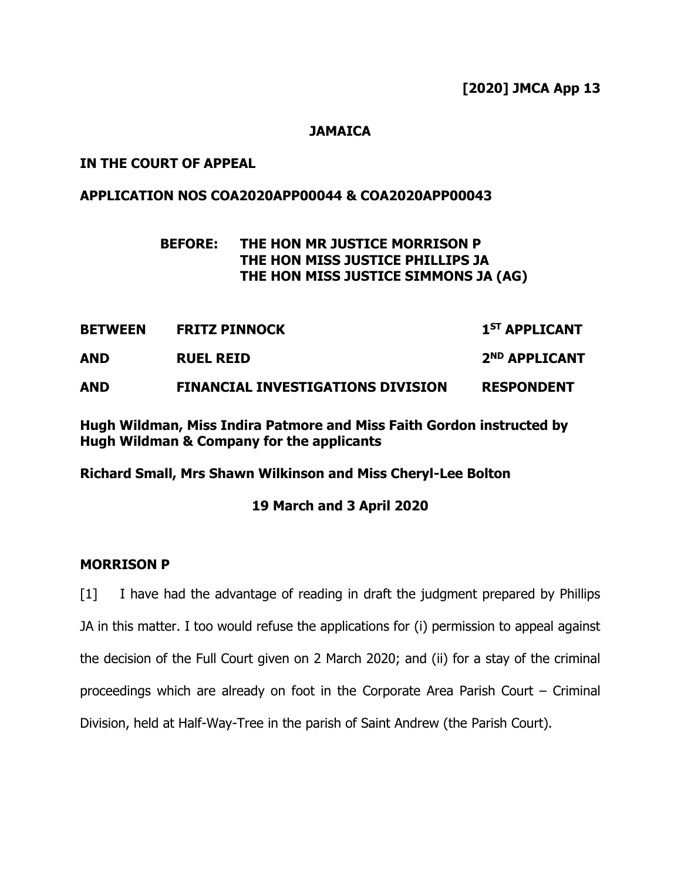## **JAMAICA**

## **IN THE COURT OF APPEAL**

## **APPLICATION NOS COA2020APP00044 & COA2020APP00043**

# **BEFORE: THE HON MR JUSTICE MORRISON P THE HON MISS JUSTICE PHILLIPS JA THE HON MISS JUSTICE SIMMONS JA (AG)**

| <b>BETWEEN</b> | <b>FRITZ PINNOCK</b>                     | 1 <sup>ST</sup> APPLICANT |
|----------------|------------------------------------------|---------------------------|
| AND            | <b>RUEL REID</b>                         | 2 <sup>ND</sup> APPLICANT |
| <b>AND</b>     | <b>FINANCIAL INVESTIGATIONS DIVISION</b> | <b>RESPONDENT</b>         |

**Hugh Wildman, Miss Indira Patmore and Miss Faith Gordon instructed by Hugh Wildman & Company for the applicants** 

**Richard Small, Mrs Shawn Wilkinson and Miss Cheryl-Lee Bolton** 

#### **19 March and 3 April 2020**

#### **MORRISON P**

[1] I have had the advantage of reading in draft the judgment prepared by Phillips JA in this matter. I too would refuse the applications for (i) permission to appeal against the decision of the Full Court given on 2 March 2020; and (ii) for a stay of the criminal proceedings which are already on foot in the Corporate Area Parish Court – Criminal Division, held at Half-Way-Tree in the parish of Saint Andrew (the Parish Court).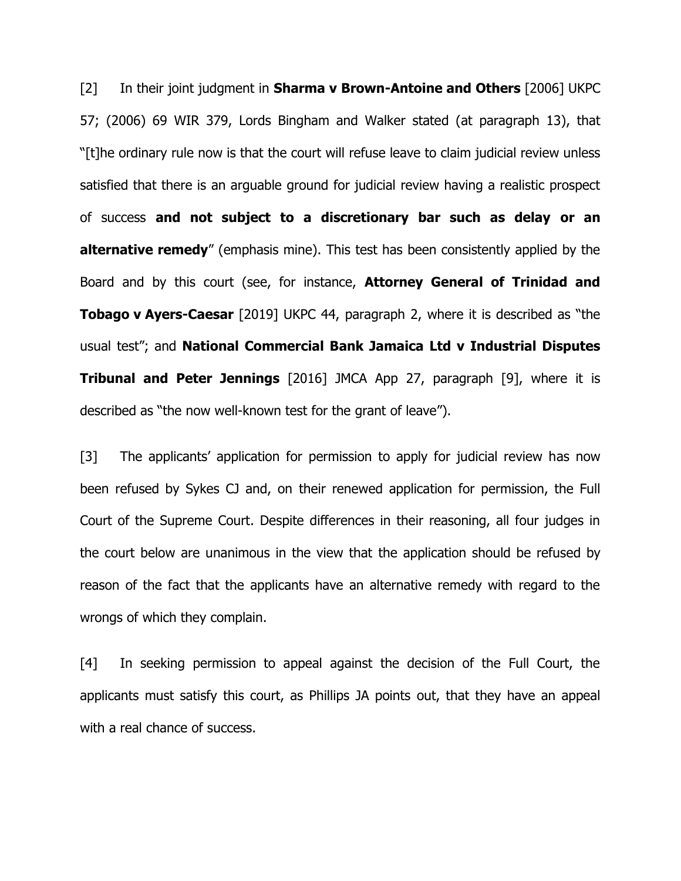[2] In their joint judgment in **Sharma v Brown-Antoine and Others** [2006] UKPC 57; (2006) 69 WIR 379, Lords Bingham and Walker stated (at paragraph 13), that "[t]he ordinary rule now is that the court will refuse leave to claim judicial review unless satisfied that there is an arguable ground for judicial review having a realistic prospect of success **and not subject to a discretionary bar such as delay or an alternative remedy**" (emphasis mine). This test has been consistently applied by the Board and by this court (see, for instance, **Attorney General of Trinidad and Tobago v Ayers-Caesar** [2019] UKPC 44, paragraph 2, where it is described as "the usual test"; and **National Commercial Bank Jamaica Ltd v Industrial Disputes Tribunal and Peter Jennings** [2016] JMCA App 27, paragraph [9], where it is described as "the now well-known test for the grant of leave").

[3] The applicants' application for permission to apply for judicial review has now been refused by Sykes CJ and, on their renewed application for permission, the Full Court of the Supreme Court. Despite differences in their reasoning, all four judges in the court below are unanimous in the view that the application should be refused by reason of the fact that the applicants have an alternative remedy with regard to the wrongs of which they complain.

[4] In seeking permission to appeal against the decision of the Full Court, the applicants must satisfy this court, as Phillips JA points out, that they have an appeal with a real chance of success.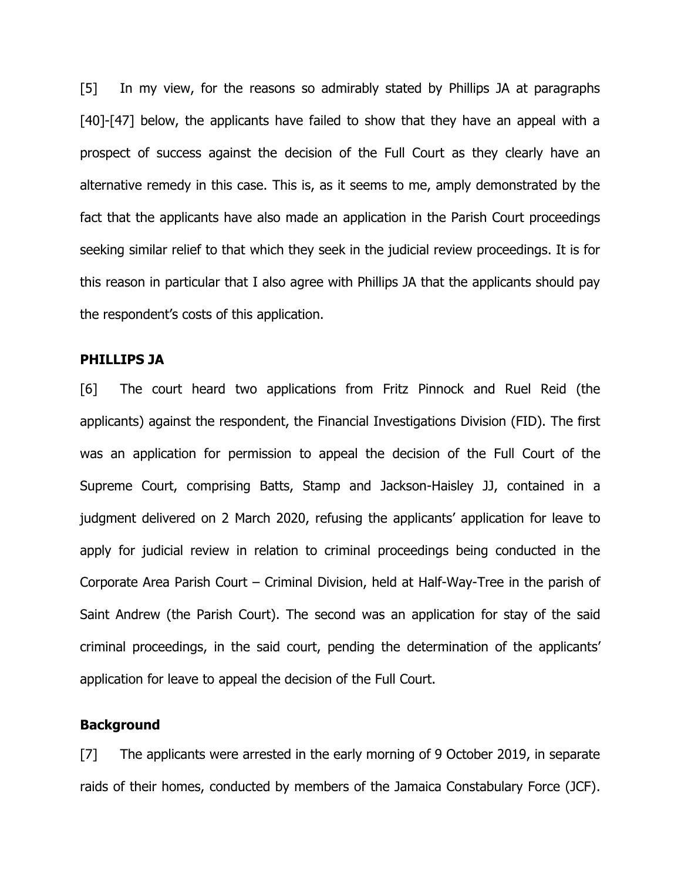[5] In my view, for the reasons so admirably stated by Phillips JA at paragraphs [40]-[47] below, the applicants have failed to show that they have an appeal with a prospect of success against the decision of the Full Court as they clearly have an alternative remedy in this case. This is, as it seems to me, amply demonstrated by the fact that the applicants have also made an application in the Parish Court proceedings seeking similar relief to that which they seek in the judicial review proceedings. It is for this reason in particular that I also agree with Phillips JA that the applicants should pay the respondent's costs of this application.

#### **PHILLIPS JA**

[6] The court heard two applications from Fritz Pinnock and Ruel Reid (the applicants) against the respondent, the Financial Investigations Division (FID). The first was an application for permission to appeal the decision of the Full Court of the Supreme Court, comprising Batts, Stamp and Jackson-Haisley JJ, contained in a judgment delivered on 2 March 2020, refusing the applicants' application for leave to apply for judicial review in relation to criminal proceedings being conducted in the Corporate Area Parish Court – Criminal Division, held at Half-Way-Tree in the parish of Saint Andrew (the Parish Court). The second was an application for stay of the said criminal proceedings, in the said court, pending the determination of the applicants' application for leave to appeal the decision of the Full Court.

#### **Background**

[7] The applicants were arrested in the early morning of 9 October 2019, in separate raids of their homes, conducted by members of the Jamaica Constabulary Force (JCF).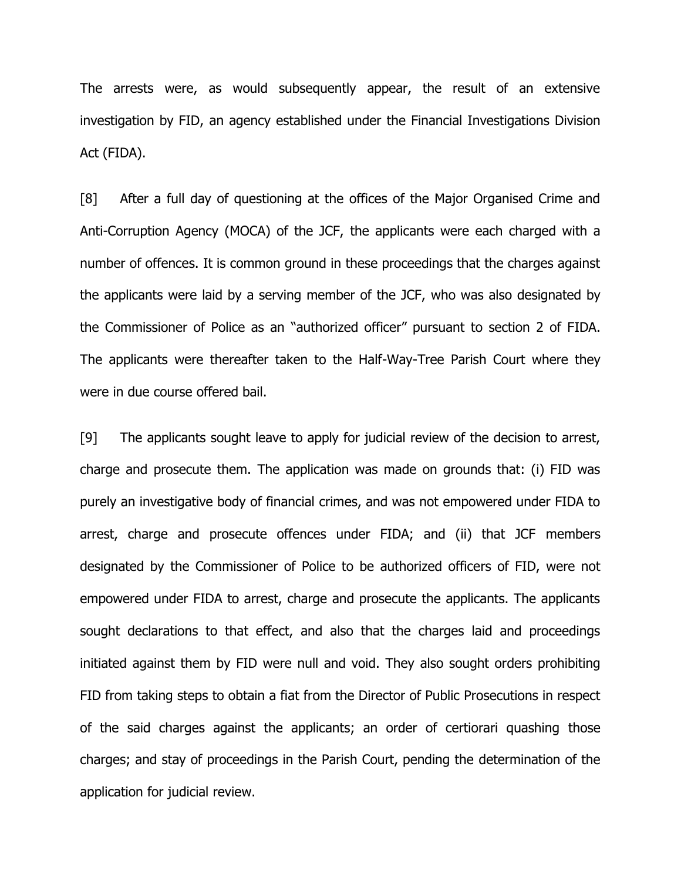The arrests were, as would subsequently appear, the result of an extensive investigation by FID, an agency established under the Financial Investigations Division Act (FIDA).

[8] After a full day of questioning at the offices of the Major Organised Crime and Anti-Corruption Agency (MOCA) of the JCF, the applicants were each charged with a number of offences. It is common ground in these proceedings that the charges against the applicants were laid by a serving member of the JCF, who was also designated by the Commissioner of Police as an "authorized officer" pursuant to section 2 of FIDA. The applicants were thereafter taken to the Half-Way-Tree Parish Court where they were in due course offered bail.

[9] The applicants sought leave to apply for judicial review of the decision to arrest, charge and prosecute them. The application was made on grounds that: (i) FID was purely an investigative body of financial crimes, and was not empowered under FIDA to arrest, charge and prosecute offences under FIDA; and (ii) that JCF members designated by the Commissioner of Police to be authorized officers of FID, were not empowered under FIDA to arrest, charge and prosecute the applicants. The applicants sought declarations to that effect, and also that the charges laid and proceedings initiated against them by FID were null and void. They also sought orders prohibiting FID from taking steps to obtain a fiat from the Director of Public Prosecutions in respect of the said charges against the applicants; an order of certiorari quashing those charges; and stay of proceedings in the Parish Court, pending the determination of the application for judicial review.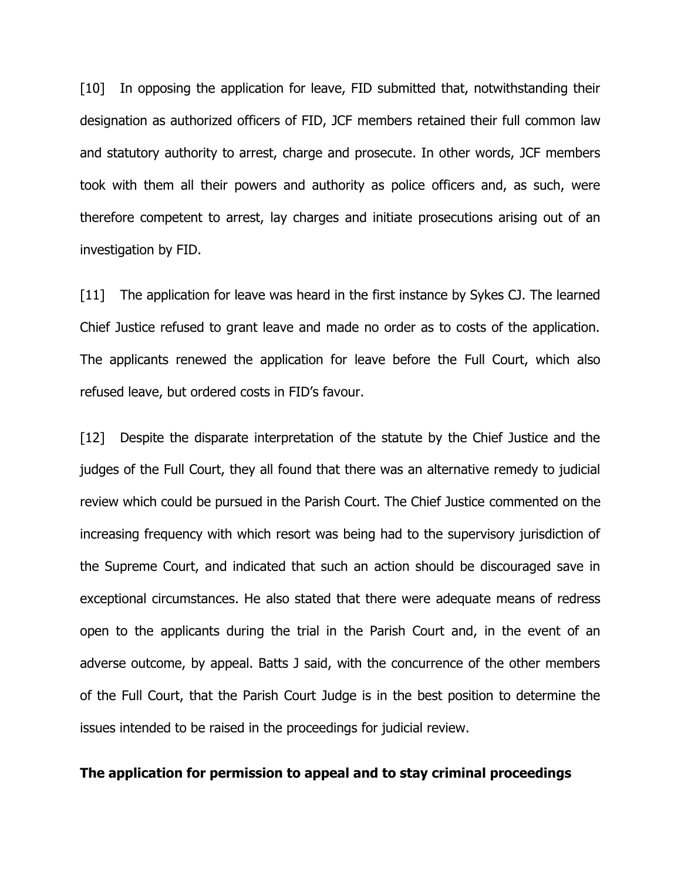[10] In opposing the application for leave, FID submitted that, notwithstanding their designation as authorized officers of FID, JCF members retained their full common law and statutory authority to arrest, charge and prosecute. In other words, JCF members took with them all their powers and authority as police officers and, as such, were therefore competent to arrest, lay charges and initiate prosecutions arising out of an investigation by FID.

[11] The application for leave was heard in the first instance by Sykes CJ. The learned Chief Justice refused to grant leave and made no order as to costs of the application. The applicants renewed the application for leave before the Full Court, which also refused leave, but ordered costs in FID's favour.

[12] Despite the disparate interpretation of the statute by the Chief Justice and the judges of the Full Court, they all found that there was an alternative remedy to judicial review which could be pursued in the Parish Court. The Chief Justice commented on the increasing frequency with which resort was being had to the supervisory jurisdiction of the Supreme Court, and indicated that such an action should be discouraged save in exceptional circumstances. He also stated that there were adequate means of redress open to the applicants during the trial in the Parish Court and, in the event of an adverse outcome, by appeal. Batts J said, with the concurrence of the other members of the Full Court, that the Parish Court Judge is in the best position to determine the issues intended to be raised in the proceedings for judicial review.

### **The application for permission to appeal and to stay criminal proceedings**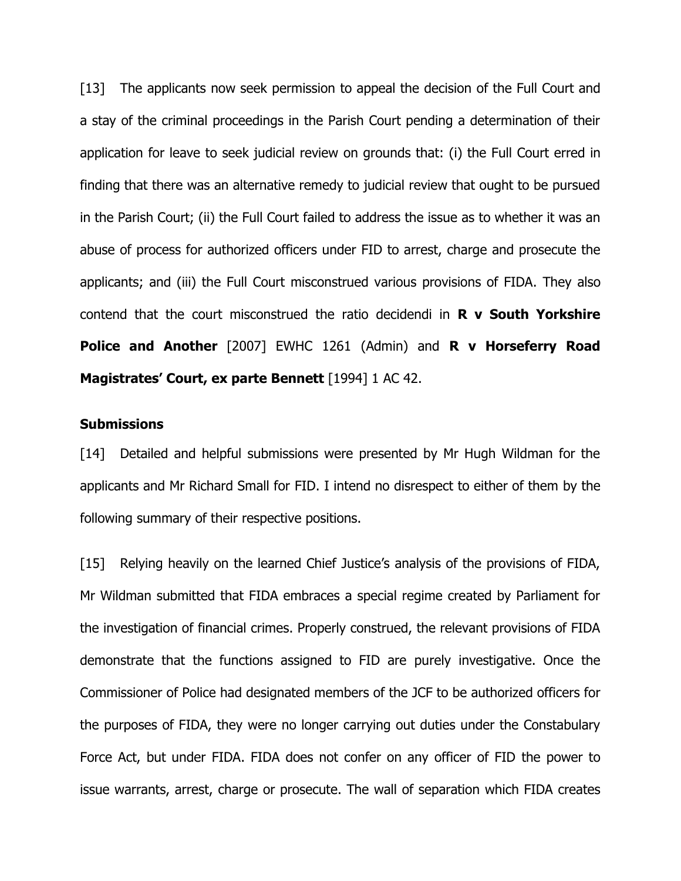[13] The applicants now seek permission to appeal the decision of the Full Court and a stay of the criminal proceedings in the Parish Court pending a determination of their application for leave to seek judicial review on grounds that: (i) the Full Court erred in finding that there was an alternative remedy to judicial review that ought to be pursued in the Parish Court; (ii) the Full Court failed to address the issue as to whether it was an abuse of process for authorized officers under FID to arrest, charge and prosecute the applicants; and (iii) the Full Court misconstrued various provisions of FIDA. They also contend that the court misconstrued the ratio decidendi in **R v South Yorkshire Police and Another** [2007] EWHC 1261 (Admin) and **R v Horseferry Road Magistrates' Court, ex parte Bennett** [1994] 1 AC 42.

## **Submissions**

[14] Detailed and helpful submissions were presented by Mr Hugh Wildman for the applicants and Mr Richard Small for FID. I intend no disrespect to either of them by the following summary of their respective positions.

[15] Relying heavily on the learned Chief Justice's analysis of the provisions of FIDA, Mr Wildman submitted that FIDA embraces a special regime created by Parliament for the investigation of financial crimes. Properly construed, the relevant provisions of FIDA demonstrate that the functions assigned to FID are purely investigative. Once the Commissioner of Police had designated members of the JCF to be authorized officers for the purposes of FIDA, they were no longer carrying out duties under the Constabulary Force Act, but under FIDA. FIDA does not confer on any officer of FID the power to issue warrants, arrest, charge or prosecute. The wall of separation which FIDA creates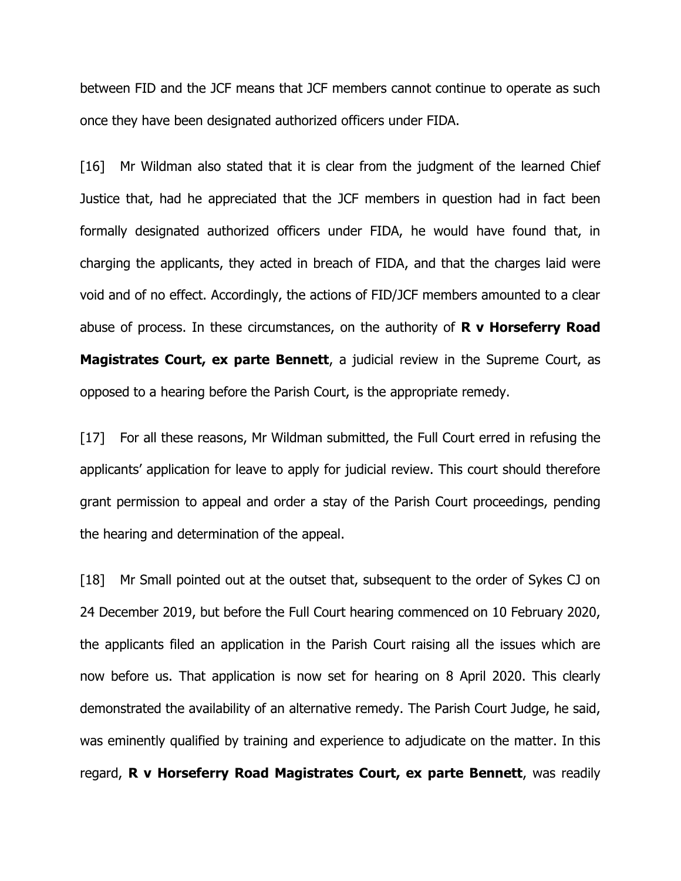between FID and the JCF means that JCF members cannot continue to operate as such once they have been designated authorized officers under FIDA.

[16] Mr Wildman also stated that it is clear from the judgment of the learned Chief Justice that, had he appreciated that the JCF members in question had in fact been formally designated authorized officers under FIDA, he would have found that, in charging the applicants, they acted in breach of FIDA, and that the charges laid were void and of no effect. Accordingly, the actions of FID/JCF members amounted to a clear abuse of process. In these circumstances, on the authority of **R v Horseferry Road Magistrates Court, ex parte Bennett**, a judicial review in the Supreme Court, as opposed to a hearing before the Parish Court, is the appropriate remedy.

[17] For all these reasons, Mr Wildman submitted, the Full Court erred in refusing the applicants' application for leave to apply for judicial review. This court should therefore grant permission to appeal and order a stay of the Parish Court proceedings, pending the hearing and determination of the appeal.

[18] Mr Small pointed out at the outset that, subsequent to the order of Sykes CJ on 24 December 2019, but before the Full Court hearing commenced on 10 February 2020, the applicants filed an application in the Parish Court raising all the issues which are now before us. That application is now set for hearing on 8 April 2020. This clearly demonstrated the availability of an alternative remedy. The Parish Court Judge, he said, was eminently qualified by training and experience to adjudicate on the matter. In this regard, **R v Horseferry Road Magistrates Court, ex parte Bennett**, was readily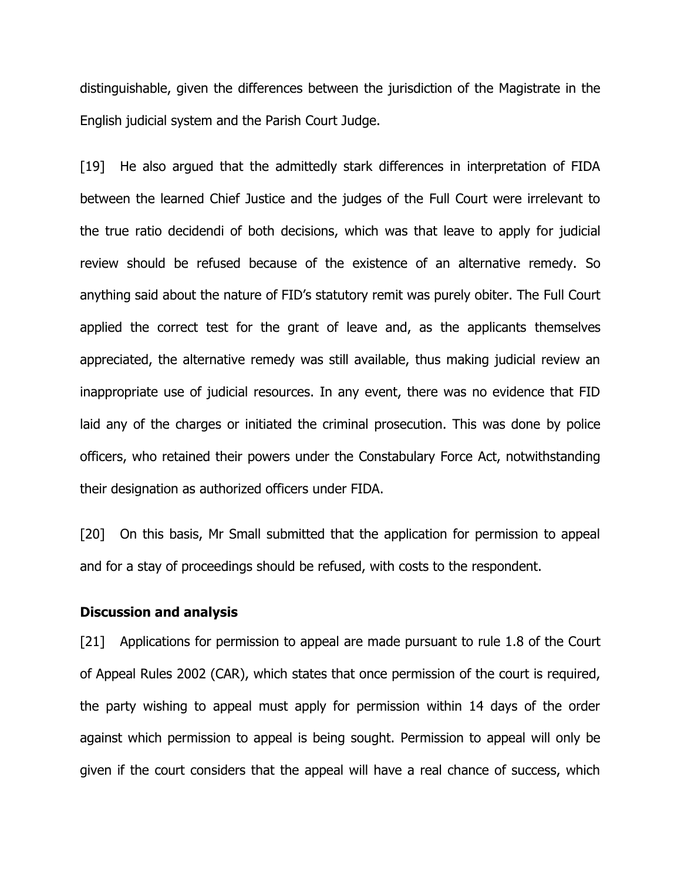distinguishable, given the differences between the jurisdiction of the Magistrate in the English judicial system and the Parish Court Judge.

[19] He also argued that the admittedly stark differences in interpretation of FIDA between the learned Chief Justice and the judges of the Full Court were irrelevant to the true ratio decidendi of both decisions, which was that leave to apply for judicial review should be refused because of the existence of an alternative remedy. So anything said about the nature of FID's statutory remit was purely obiter. The Full Court applied the correct test for the grant of leave and, as the applicants themselves appreciated, the alternative remedy was still available, thus making judicial review an inappropriate use of judicial resources. In any event, there was no evidence that FID laid any of the charges or initiated the criminal prosecution. This was done by police officers, who retained their powers under the Constabulary Force Act, notwithstanding their designation as authorized officers under FIDA.

[20] On this basis, Mr Small submitted that the application for permission to appeal and for a stay of proceedings should be refused, with costs to the respondent.

#### **Discussion and analysis**

[21] Applications for permission to appeal are made pursuant to rule 1.8 of the Court of Appeal Rules 2002 (CAR), which states that once permission of the court is required, the party wishing to appeal must apply for permission within 14 days of the order against which permission to appeal is being sought. Permission to appeal will only be given if the court considers that the appeal will have a real chance of success, which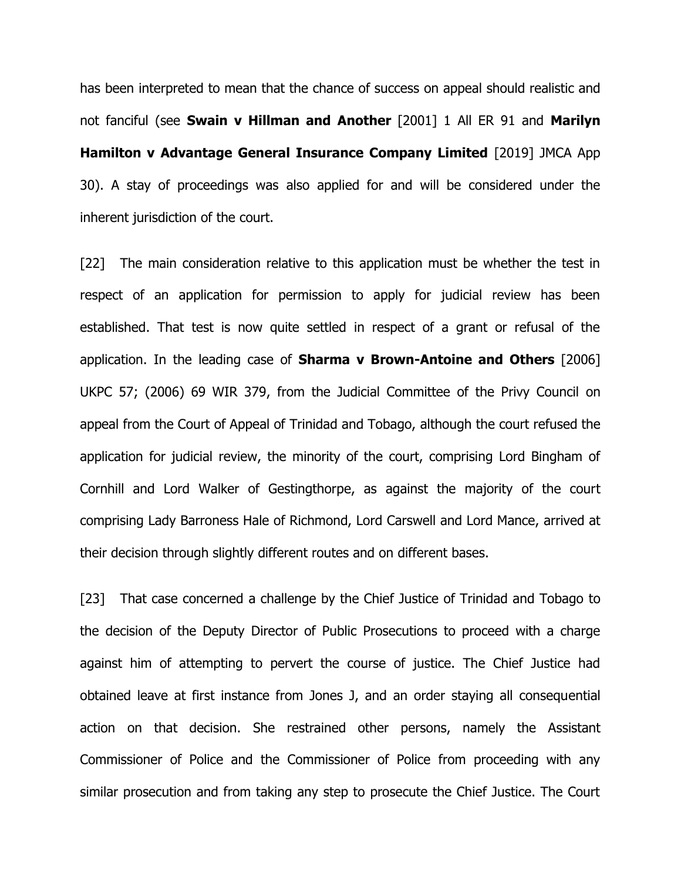has been interpreted to mean that the chance of success on appeal should realistic and not fanciful (see **Swain v Hillman and Another** [2001] 1 All ER 91 and **Marilyn Hamilton v Advantage General Insurance Company Limited** [2019] JMCA App 30). A stay of proceedings was also applied for and will be considered under the inherent jurisdiction of the court.

[22] The main consideration relative to this application must be whether the test in respect of an application for permission to apply for judicial review has been established. That test is now quite settled in respect of a grant or refusal of the application. In the leading case of **Sharma v Brown-Antoine and Others** [2006] UKPC 57; (2006) 69 WIR 379, from the Judicial Committee of the Privy Council on appeal from the Court of Appeal of Trinidad and Tobago, although the court refused the application for judicial review, the minority of the court, comprising Lord Bingham of Cornhill and Lord Walker of Gestingthorpe, as against the majority of the court comprising Lady Barroness Hale of Richmond, Lord Carswell and Lord Mance, arrived at their decision through slightly different routes and on different bases.

[23] That case concerned a challenge by the Chief Justice of Trinidad and Tobago to the decision of the Deputy Director of Public Prosecutions to proceed with a charge against him of attempting to pervert the course of justice. The Chief Justice had obtained leave at first instance from Jones J, and an order staying all consequential action on that decision. She restrained other persons, namely the Assistant Commissioner of Police and the Commissioner of Police from proceeding with any similar prosecution and from taking any step to prosecute the Chief Justice. The Court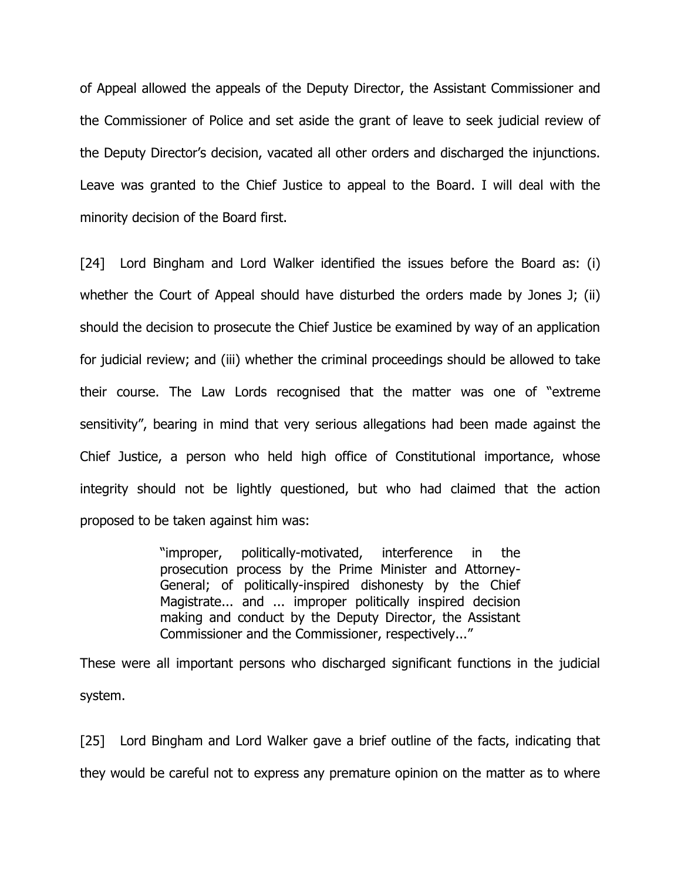of Appeal allowed the appeals of the Deputy Director, the Assistant Commissioner and the Commissioner of Police and set aside the grant of leave to seek judicial review of the Deputy Director's decision, vacated all other orders and discharged the injunctions. Leave was granted to the Chief Justice to appeal to the Board. I will deal with the minority decision of the Board first.

[24] Lord Bingham and Lord Walker identified the issues before the Board as: (i) whether the Court of Appeal should have disturbed the orders made by Jones J; (ii) should the decision to prosecute the Chief Justice be examined by way of an application for judicial review; and (iii) whether the criminal proceedings should be allowed to take their course. The Law Lords recognised that the matter was one of "extreme sensitivity", bearing in mind that very serious allegations had been made against the Chief Justice, a person who held high office of Constitutional importance, whose integrity should not be lightly questioned, but who had claimed that the action proposed to be taken against him was:

> "improper, politically-motivated, interference in the prosecution process by the Prime Minister and Attorney-General; of politically-inspired dishonesty by the Chief Magistrate... and ... improper politically inspired decision making and conduct by the Deputy Director, the Assistant Commissioner and the Commissioner, respectively..."

These were all important persons who discharged significant functions in the judicial system.

[25] Lord Bingham and Lord Walker gave a brief outline of the facts, indicating that they would be careful not to express any premature opinion on the matter as to where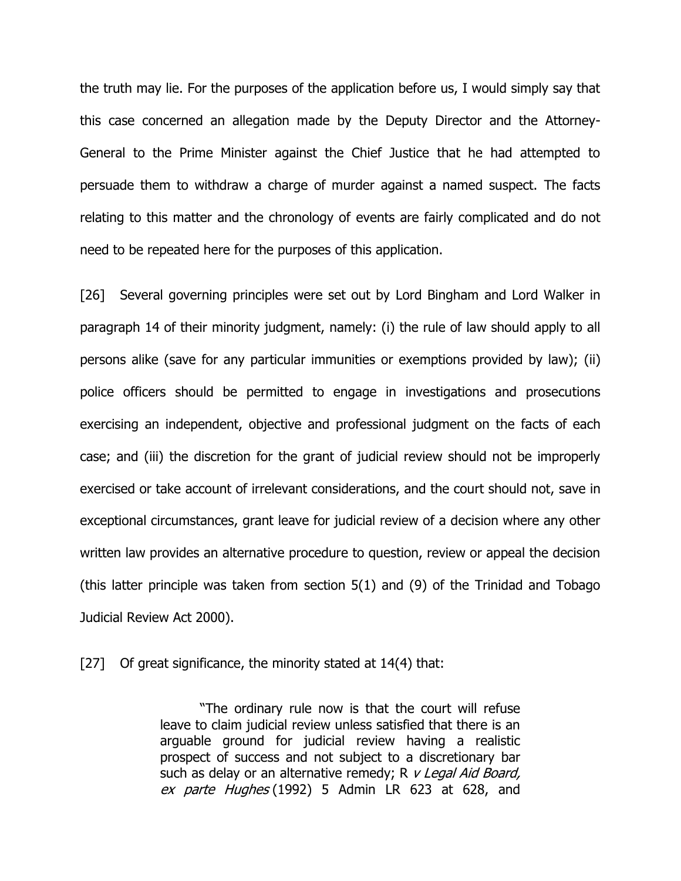the truth may lie. For the purposes of the application before us, I would simply say that this case concerned an allegation made by the Deputy Director and the Attorney-General to the Prime Minister against the Chief Justice that he had attempted to persuade them to withdraw a charge of murder against a named suspect. The facts relating to this matter and the chronology of events are fairly complicated and do not need to be repeated here for the purposes of this application.

[26] Several governing principles were set out by Lord Bingham and Lord Walker in paragraph 14 of their minority judgment, namely: (i) the rule of law should apply to all persons alike (save for any particular immunities or exemptions provided by law); (ii) police officers should be permitted to engage in investigations and prosecutions exercising an independent, objective and professional judgment on the facts of each case; and (iii) the discretion for the grant of judicial review should not be improperly exercised or take account of irrelevant considerations, and the court should not, save in exceptional circumstances, grant leave for judicial review of a decision where any other written law provides an alternative procedure to question, review or appeal the decision (this latter principle was taken from section 5(1) and (9) of the Trinidad and Tobago Judicial Review Act 2000).

[27] Of great significance, the minority stated at 14(4) that:

"The ordinary rule now is that the court will refuse leave to claim judicial review unless satisfied that there is an arguable ground for judicial review having a realistic prospect of success and not subject to a discretionary bar such as delay or an alternative remedy; R v Legal Aid Board, ex parte Hughes (1992) 5 Admin LR 623 at 628, and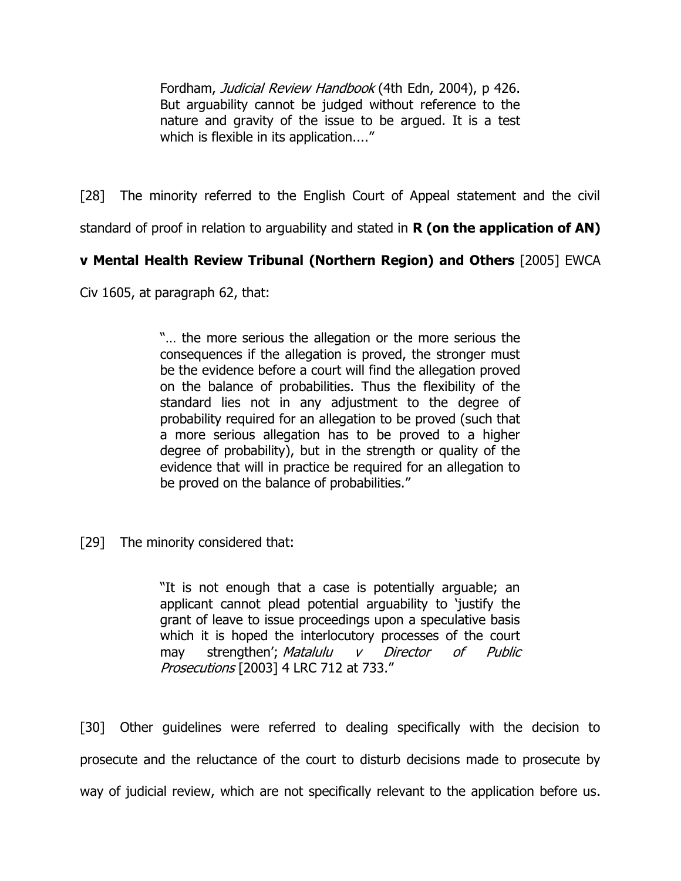Fordham, Judicial Review Handbook (4th Edn, 2004), p 426. But arguability cannot be judged without reference to the nature and gravity of the issue to be argued. It is a test which is flexible in its application...."

[28] The minority referred to the English Court of Appeal statement and the civil

standard of proof in relation to arguability and stated in **R (on the application of AN)** 

# **v Mental Health Review Tribunal (Northern Region) and Others** [2005] EWCA

Civ 1605, at paragraph 62, that:

"… the more serious the allegation or the more serious the consequences if the allegation is proved, the stronger must be the evidence before a court will find the allegation proved on the balance of probabilities. Thus the flexibility of the standard lies not in any adjustment to the degree of probability required for an allegation to be proved (such that a more serious allegation has to be proved to a higher degree of probability), but in the strength or quality of the evidence that will in practice be required for an allegation to be proved on the balance of probabilities."

[29] The minority considered that:

"It is not enough that a case is potentially arguable; an applicant cannot plead potential arguability to 'justify the grant of leave to issue proceedings upon a speculative basis which it is hoped the interlocutory processes of the court may strengthen'; Matalulu v Director of Public Prosecutions [\[2003\]](https://www.lexisnexis.com/uk/legal/search/enhRunRemoteLink.do?linkInfo=F%23GB%23LRC%23sel1%252003%25vol%254%25tpage%25733%25year%252003%25page%25712%25sel2%254%25&A=0.8606789800754929&backKey=20_T29195028019&service=citation&ersKey=23_T29195028008&langcountry=GB) 4 LRC 712 at 733."

[30] Other guidelines were referred to dealing specifically with the decision to prosecute and the reluctance of the court to disturb decisions made to prosecute by way of judicial review, which are not specifically relevant to the application before us.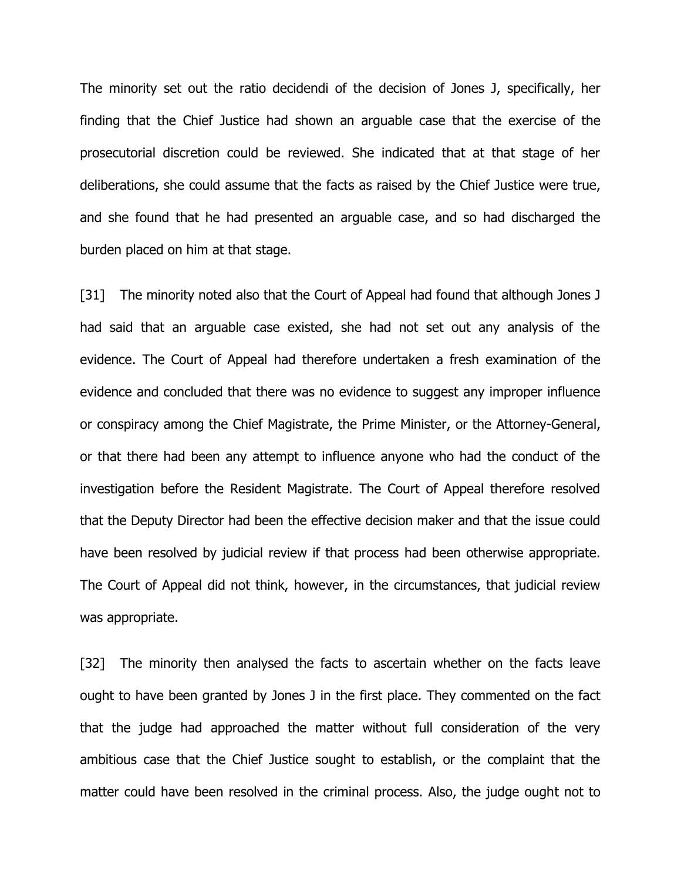The minority set out the ratio decidendi of the decision of Jones J, specifically, her finding that the Chief Justice had shown an arguable case that the exercise of the prosecutorial discretion could be reviewed. She indicated that at that stage of her deliberations, she could assume that the facts as raised by the Chief Justice were true, and she found that he had presented an arguable case, and so had discharged the burden placed on him at that stage.

[31] The minority noted also that the Court of Appeal had found that although Jones J had said that an arguable case existed, she had not set out any analysis of the evidence. The Court of Appeal had therefore undertaken a fresh examination of the evidence and concluded that there was no evidence to suggest any improper influence or conspiracy among the Chief Magistrate, the Prime Minister, or the Attorney-General, or that there had been any attempt to influence anyone who had the conduct of the investigation before the Resident Magistrate. The Court of Appeal therefore resolved that the Deputy Director had been the effective decision maker and that the issue could have been resolved by judicial review if that process had been otherwise appropriate. The Court of Appeal did not think, however, in the circumstances, that judicial review was appropriate.

[32] The minority then analysed the facts to ascertain whether on the facts leave ought to have been granted by Jones J in the first place. They commented on the fact that the judge had approached the matter without full consideration of the very ambitious case that the Chief Justice sought to establish, or the complaint that the matter could have been resolved in the criminal process. Also, the judge ought not to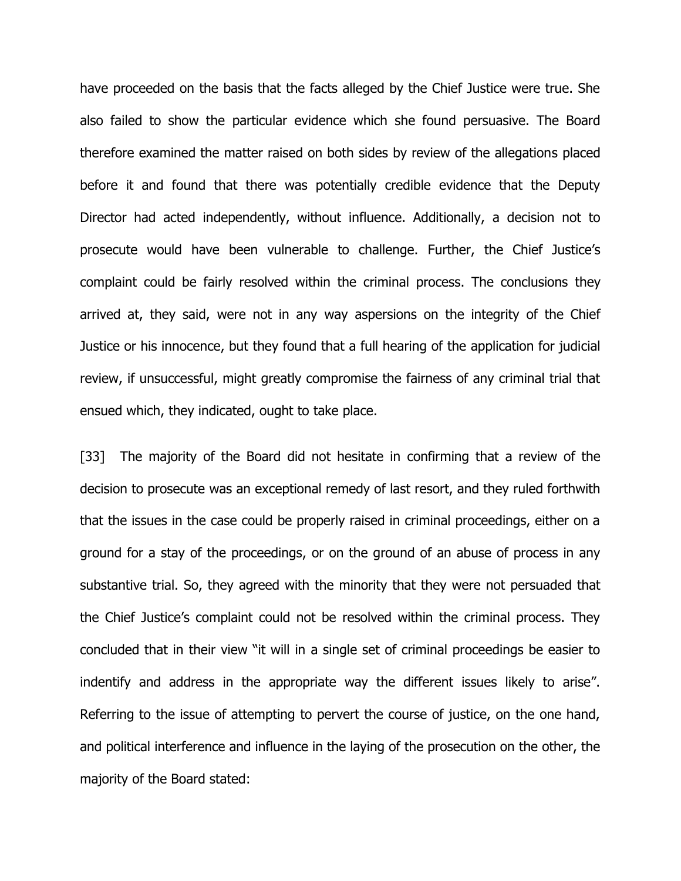have proceeded on the basis that the facts alleged by the Chief Justice were true. She also failed to show the particular evidence which she found persuasive. The Board therefore examined the matter raised on both sides by review of the allegations placed before it and found that there was potentially credible evidence that the Deputy Director had acted independently, without influence. Additionally, a decision not to prosecute would have been vulnerable to challenge. Further, the Chief Justice's complaint could be fairly resolved within the criminal process. The conclusions they arrived at, they said, were not in any way aspersions on the integrity of the Chief Justice or his innocence, but they found that a full hearing of the application for judicial review, if unsuccessful, might greatly compromise the fairness of any criminal trial that ensued which, they indicated, ought to take place.

[33] The majority of the Board did not hesitate in confirming that a review of the decision to prosecute was an exceptional remedy of last resort, and they ruled forthwith that the issues in the case could be properly raised in criminal proceedings, either on a ground for a stay of the proceedings, or on the ground of an abuse of process in any substantive trial. So, they agreed with the minority that they were not persuaded that the Chief Justice's complaint could not be resolved within the criminal process. They concluded that in their view "it will in a single set of criminal proceedings be easier to indentify and address in the appropriate way the different issues likely to arise". Referring to the issue of attempting to pervert the course of justice, on the one hand, and political interference and influence in the laying of the prosecution on the other, the majority of the Board stated: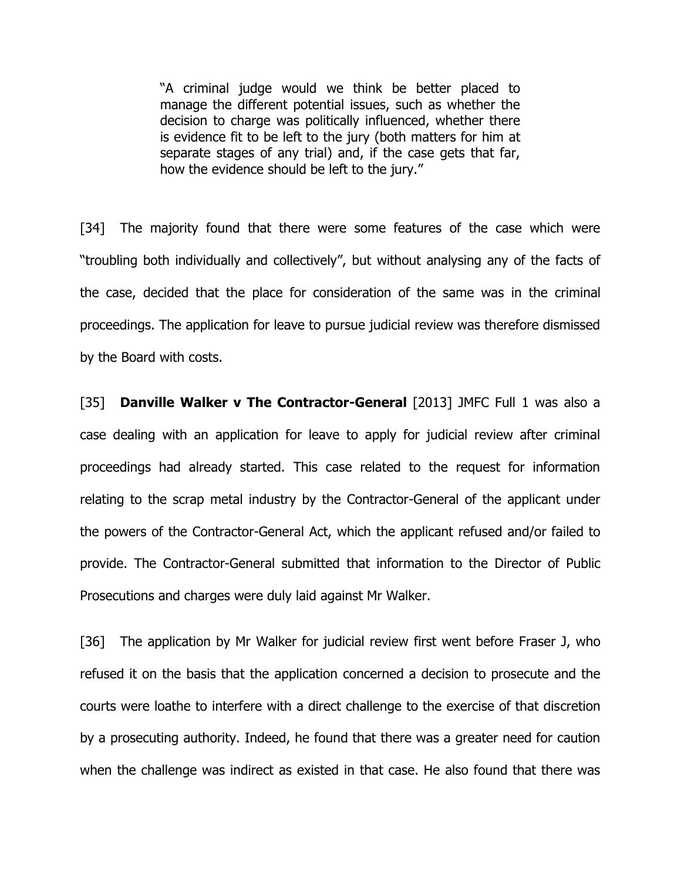"A criminal judge would we think be better placed to manage the different potential issues, such as whether the decision to charge was politically influenced, whether there is evidence fit to be left to the jury (both matters for him at separate stages of any trial) and, if the case gets that far, how the evidence should be left to the jury."

[34] The majority found that there were some features of the case which were "troubling both individually and collectively", but without analysing any of the facts of the case, decided that the place for consideration of the same was in the criminal proceedings. The application for leave to pursue judicial review was therefore dismissed by the Board with costs.

[35] **Danville Walker v The Contractor-General** [2013] JMFC Full 1 was also a case dealing with an application for leave to apply for judicial review after criminal proceedings had already started. This case related to the request for information relating to the scrap metal industry by the Contractor-General of the applicant under the powers of the Contractor-General Act, which the applicant refused and/or failed to provide. The Contractor-General submitted that information to the Director of Public Prosecutions and charges were duly laid against Mr Walker.

[36] The application by Mr Walker for judicial review first went before Fraser J, who refused it on the basis that the application concerned a decision to prosecute and the courts were loathe to interfere with a direct challenge to the exercise of that discretion by a prosecuting authority. Indeed, he found that there was a greater need for caution when the challenge was indirect as existed in that case. He also found that there was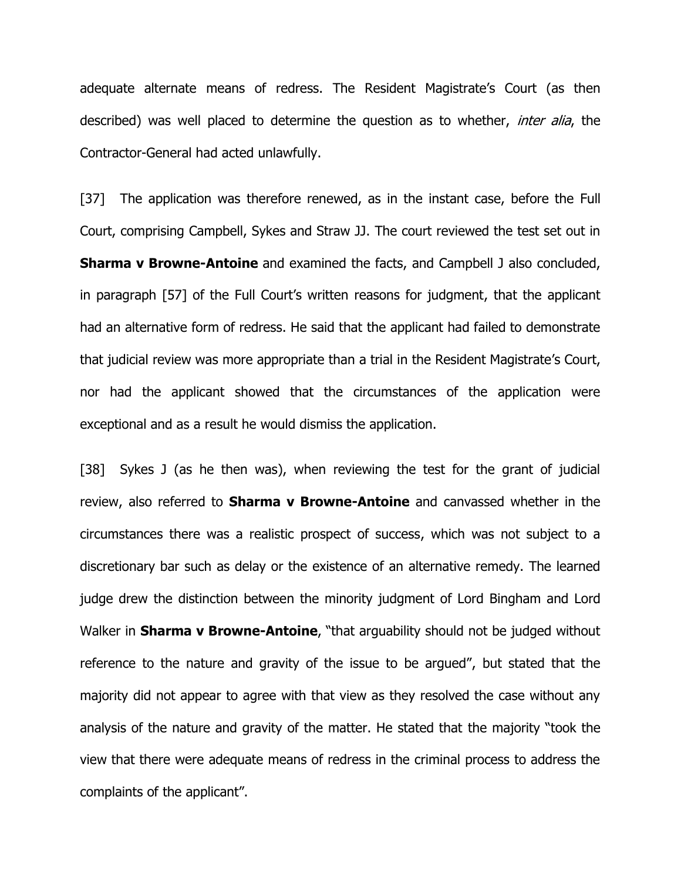adequate alternate means of redress. The Resident Magistrate's Court (as then described) was well placed to determine the question as to whether, *inter alia*, the Contractor-General had acted unlawfully.

[37] The application was therefore renewed, as in the instant case, before the Full Court, comprising Campbell, Sykes and Straw JJ. The court reviewed the test set out in **Sharma v Browne-Antoine** and examined the facts, and Campbell J also concluded, in paragraph [57] of the Full Court's written reasons for judgment, that the applicant had an alternative form of redress. He said that the applicant had failed to demonstrate that judicial review was more appropriate than a trial in the Resident Magistrate's Court, nor had the applicant showed that the circumstances of the application were exceptional and as a result he would dismiss the application.

[38] Sykes J (as he then was), when reviewing the test for the grant of judicial review, also referred to **Sharma v Browne-Antoine** and canvassed whether in the circumstances there was a realistic prospect of success, which was not subject to a discretionary bar such as delay or the existence of an alternative remedy. The learned judge drew the distinction between the minority judgment of Lord Bingham and Lord Walker in **Sharma v Browne-Antoine**, "that arguability should not be judged without reference to the nature and gravity of the issue to be argued", but stated that the majority did not appear to agree with that view as they resolved the case without any analysis of the nature and gravity of the matter. He stated that the majority "took the view that there were adequate means of redress in the criminal process to address the complaints of the applicant".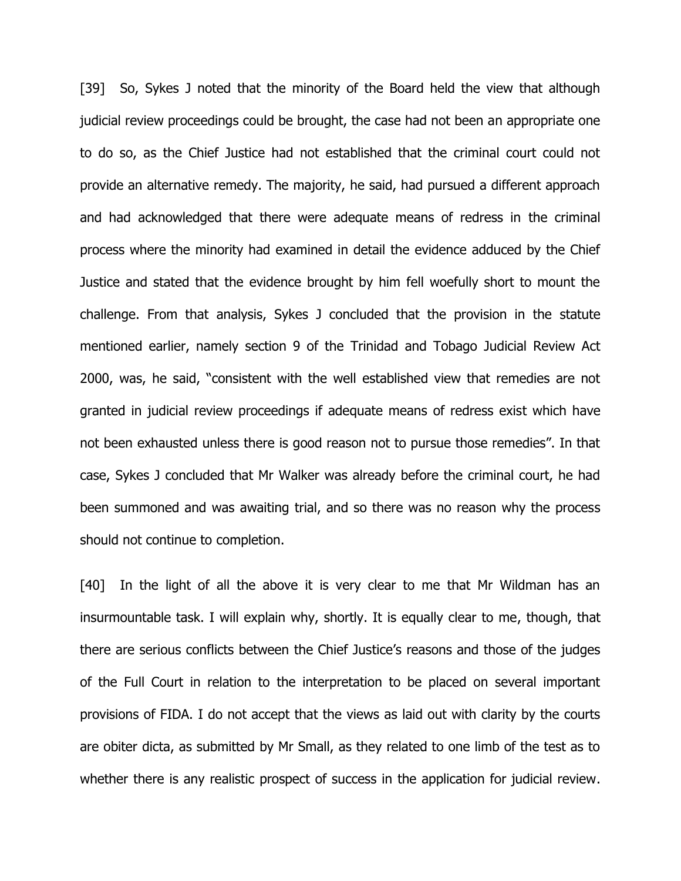[39] So, Sykes J noted that the minority of the Board held the view that although judicial review proceedings could be brought, the case had not been an appropriate one to do so, as the Chief Justice had not established that the criminal court could not provide an alternative remedy. The majority, he said, had pursued a different approach and had acknowledged that there were adequate means of redress in the criminal process where the minority had examined in detail the evidence adduced by the Chief Justice and stated that the evidence brought by him fell woefully short to mount the challenge. From that analysis, Sykes J concluded that the provision in the statute mentioned earlier, namely section 9 of the Trinidad and Tobago Judicial Review Act 2000, was, he said, "consistent with the well established view that remedies are not granted in judicial review proceedings if adequate means of redress exist which have not been exhausted unless there is good reason not to pursue those remedies". In that case, Sykes J concluded that Mr Walker was already before the criminal court, he had been summoned and was awaiting trial, and so there was no reason why the process should not continue to completion.

[40] In the light of all the above it is very clear to me that Mr Wildman has an insurmountable task. I will explain why, shortly. It is equally clear to me, though, that there are serious conflicts between the Chief Justice's reasons and those of the judges of the Full Court in relation to the interpretation to be placed on several important provisions of FIDA. I do not accept that the views as laid out with clarity by the courts are obiter dicta, as submitted by Mr Small, as they related to one limb of the test as to whether there is any realistic prospect of success in the application for judicial review.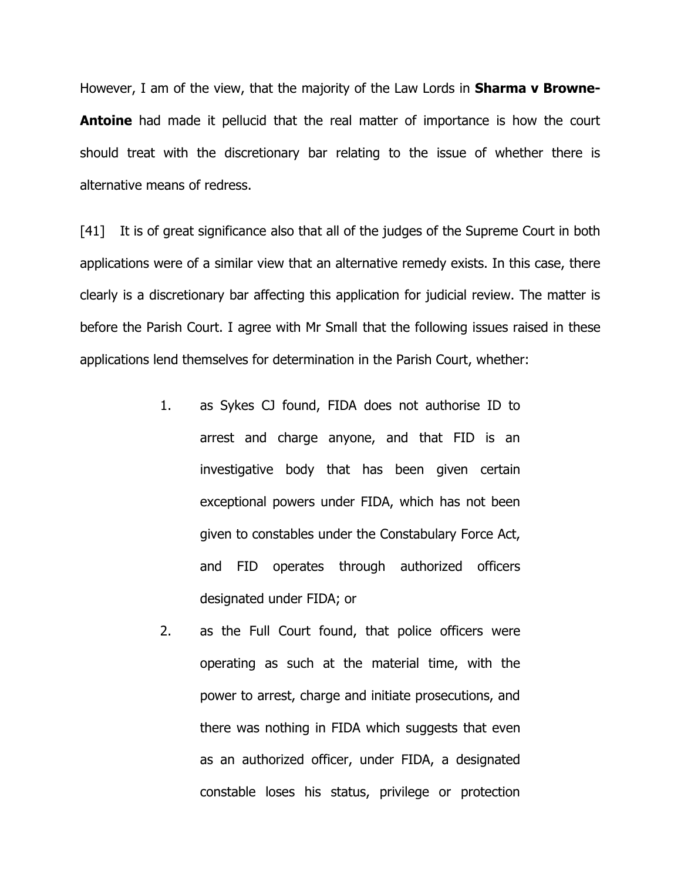However, I am of the view, that the majority of the Law Lords in **Sharma v Browne-Antoine** had made it pellucid that the real matter of importance is how the court should treat with the discretionary bar relating to the issue of whether there is alternative means of redress.

[41] It is of great significance also that all of the judges of the Supreme Court in both applications were of a similar view that an alternative remedy exists. In this case, there clearly is a discretionary bar affecting this application for judicial review. The matter is before the Parish Court. I agree with Mr Small that the following issues raised in these applications lend themselves for determination in the Parish Court, whether:

- 1. as Sykes CJ found, FIDA does not authorise ID to arrest and charge anyone, and that FID is an investigative body that has been given certain exceptional powers under FIDA, which has not been given to constables under the Constabulary Force Act, and FID operates through authorized officers designated under FIDA; or
- 2. as the Full Court found, that police officers were operating as such at the material time, with the power to arrest, charge and initiate prosecutions, and there was nothing in FIDA which suggests that even as an authorized officer, under FIDA, a designated constable loses his status, privilege or protection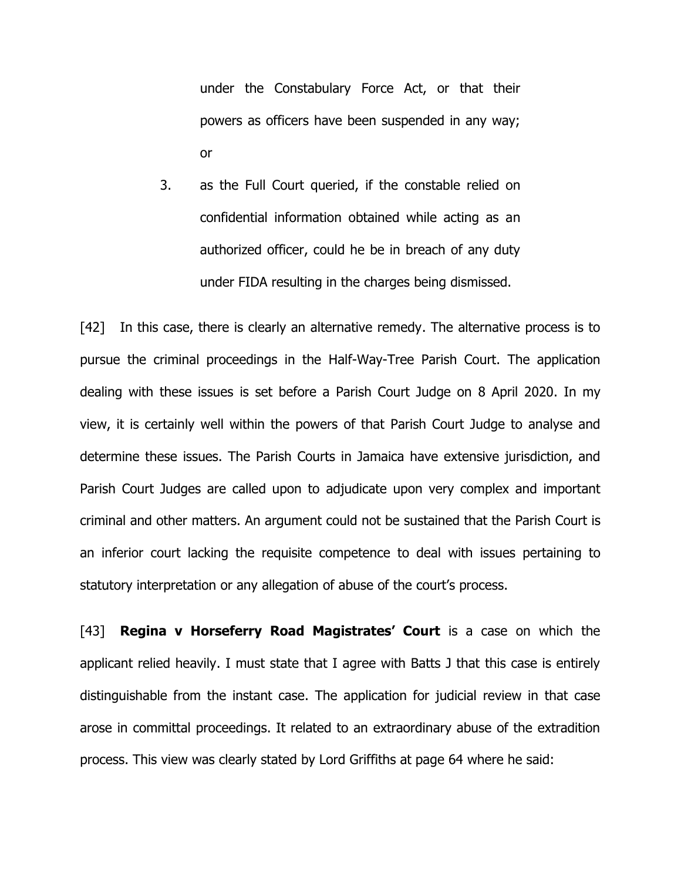under the Constabulary Force Act, or that their powers as officers have been suspended in any way; or

3. as the Full Court queried, if the constable relied on confidential information obtained while acting as an authorized officer, could he be in breach of any duty under FIDA resulting in the charges being dismissed.

[42] In this case, there is clearly an alternative remedy. The alternative process is to pursue the criminal proceedings in the Half-Way-Tree Parish Court. The application dealing with these issues is set before a Parish Court Judge on 8 April 2020. In my view, it is certainly well within the powers of that Parish Court Judge to analyse and determine these issues. The Parish Courts in Jamaica have extensive jurisdiction, and Parish Court Judges are called upon to adjudicate upon very complex and important criminal and other matters. An argument could not be sustained that the Parish Court is an inferior court lacking the requisite competence to deal with issues pertaining to statutory interpretation or any allegation of abuse of the court's process.

[43] **Regina v Horseferry Road Magistrates' Court** is a case on which the applicant relied heavily. I must state that I agree with Batts J that this case is entirely distinguishable from the instant case. The application for judicial review in that case arose in committal proceedings. It related to an extraordinary abuse of the extradition process. This view was clearly stated by Lord Griffiths at page 64 where he said: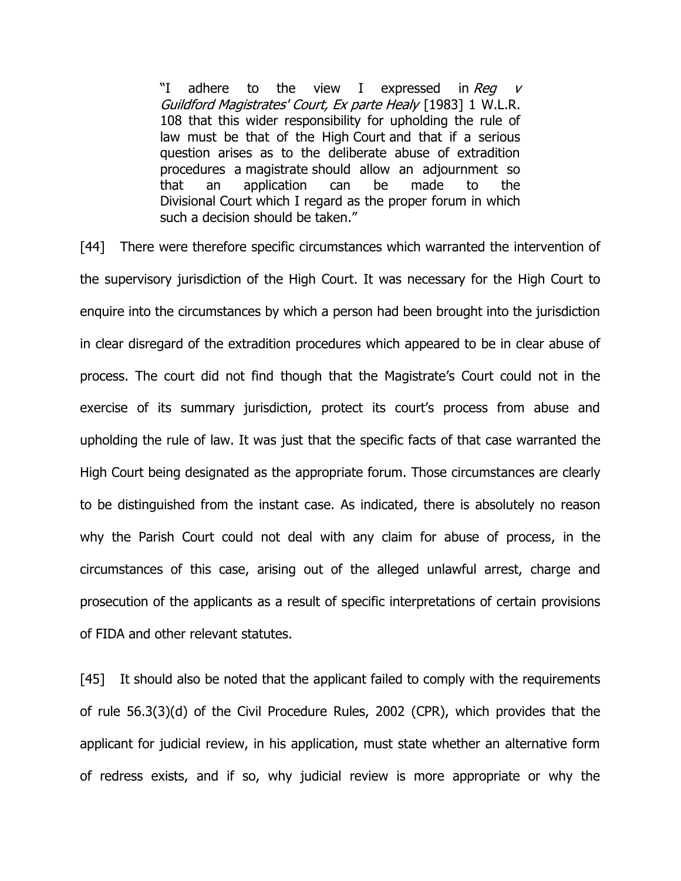"I adhere to the view I expressed in Rea v Guildford Magistrates' Court, Ex parte Healy [1983] 1 W.L.R. 108 that this wider responsibility for upholding the rule of law must be that of the High Court and that if a serious question arises as to the deliberate abuse of extradition procedures a magistrate should allow an adjournment so that an application can be made to the Divisional Court which I regard as the proper forum in which such a decision should be taken."

[44] There were therefore specific circumstances which warranted the intervention of the supervisory jurisdiction of the High Court. It was necessary for the High Court to enquire into the circumstances by which a person had been brought into the jurisdiction in clear disregard of the extradition procedures which appeared to be in clear abuse of process. The court did not find though that the Magistrate's Court could not in the exercise of its summary jurisdiction, protect its court's process from abuse and upholding the rule of law. It was just that the specific facts of that case warranted the High Court being designated as the appropriate forum. Those circumstances are clearly to be distinguished from the instant case. As indicated, there is absolutely no reason why the Parish Court could not deal with any claim for abuse of process, in the circumstances of this case, arising out of the alleged unlawful arrest, charge and prosecution of the applicants as a result of specific interpretations of certain provisions of FIDA and other relevant statutes.

[45] It should also be noted that the applicant failed to comply with the requirements of rule 56.3(3)(d) of the Civil Procedure Rules, 2002 (CPR), which provides that the applicant for judicial review, in his application, must state whether an alternative form of redress exists, and if so, why judicial review is more appropriate or why the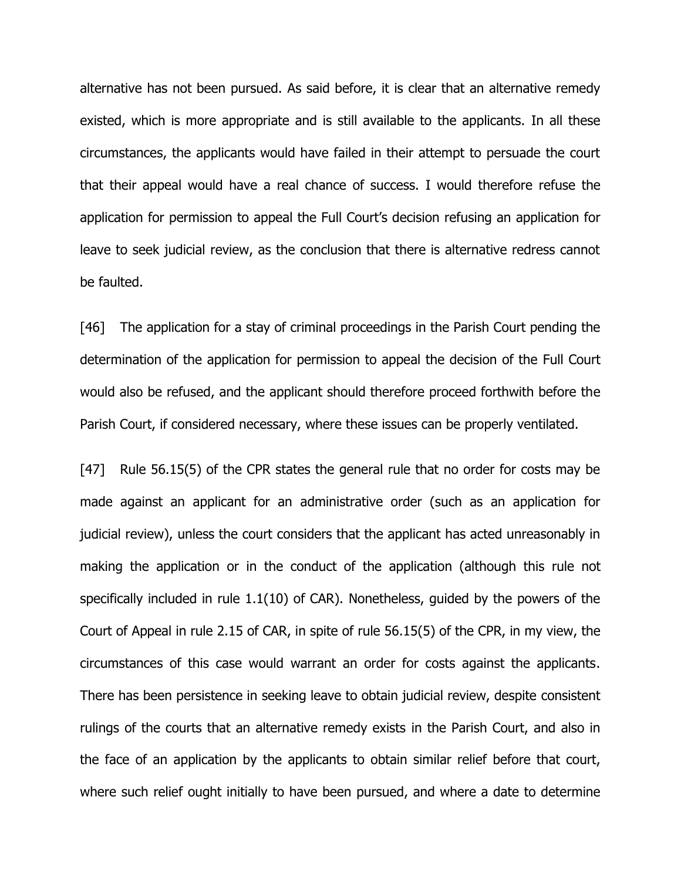alternative has not been pursued. As said before, it is clear that an alternative remedy existed, which is more appropriate and is still available to the applicants. In all these circumstances, the applicants would have failed in their attempt to persuade the court that their appeal would have a real chance of success. I would therefore refuse the application for permission to appeal the Full Court's decision refusing an application for leave to seek judicial review, as the conclusion that there is alternative redress cannot be faulted.

[46] The application for a stay of criminal proceedings in the Parish Court pending the determination of the application for permission to appeal the decision of the Full Court would also be refused, and the applicant should therefore proceed forthwith before the Parish Court, if considered necessary, where these issues can be properly ventilated.

[47] Rule 56.15(5) of the CPR states the general rule that no order for costs may be made against an applicant for an administrative order (such as an application for judicial review), unless the court considers that the applicant has acted unreasonably in making the application or in the conduct of the application (although this rule not specifically included in rule 1.1(10) of CAR). Nonetheless, guided by the powers of the Court of Appeal in rule 2.15 of CAR, in spite of rule 56.15(5) of the CPR, in my view, the circumstances of this case would warrant an order for costs against the applicants. There has been persistence in seeking leave to obtain judicial review, despite consistent rulings of the courts that an alternative remedy exists in the Parish Court, and also in the face of an application by the applicants to obtain similar relief before that court, where such relief ought initially to have been pursued, and where a date to determine